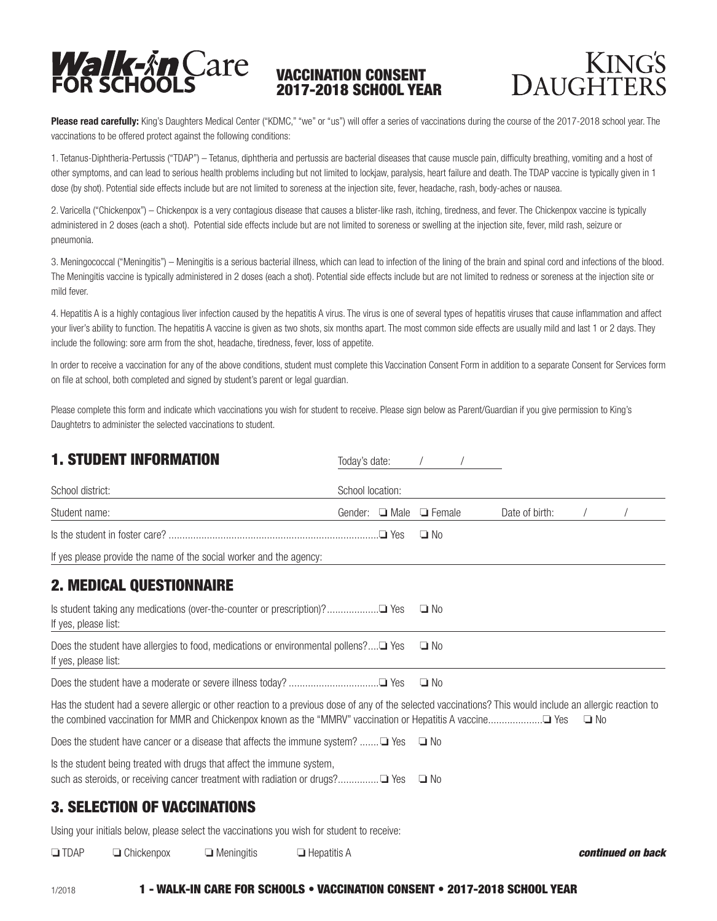

## VACCINATION CONSENT 2017-2018 SCHOOL YEAR



Please read carefully: King's Daughters Medical Center ("KDMC," "we" or "us") will offer a series of vaccinations during the course of the 2017-2018 school year. The vaccinations to be offered protect against the following conditions:

1. Tetanus-Diphtheria-Pertussis ("TDAP") – Tetanus, diphtheria and pertussis are bacterial diseases that cause muscle pain, difficulty breathing, vomiting and a host of other symptoms, and can lead to serious health problems including but not limited to lockjaw, paralysis, heart failure and death. The TDAP vaccine is typically given in 1 dose (by shot). Potential side effects include but are not limited to soreness at the injection site, fever, headache, rash, body-aches or nausea.

2. Varicella ("Chickenpox") – Chickenpox is a very contagious disease that causes a blister-like rash, itching, tiredness, and fever. The Chickenpox vaccine is typically administered in 2 doses (each a shot). Potential side effects include but are not limited to soreness or swelling at the injection site, fever, mild rash, seizure or pneumonia.

3. Meningococcal ("Meningitis") – Meningitis is a serious bacterial illness, which can lead to infection of the lining of the brain and spinal cord and infections of the blood. The Meningitis vaccine is typically administered in 2 doses (each a shot). Potential side effects include but are not limited to redness or soreness at the injection site or mild fever.

4. Hepatitis A is a highly contagious liver infection caused by the hepatitis A virus. The virus is one of several types of hepatitis viruses that cause inflammation and affect your liver's ability to function. The hepatitis A vaccine is given as two shots, six months apart. The most common side effects are usually mild and last 1 or 2 days. They include the following: sore arm from the shot, headache, tiredness, fever, loss of appetite.

In order to receive a vaccination for any of the above conditions, student must complete this Vaccination Consent Form in addition to a separate Consent for Services form on file at school, both completed and signed by student's parent or legal guardian.

Please complete this form and indicate which vaccinations you wish for student to receive. Please sign below as Parent/Guardian if you give permission to King's Daughtetrs to administer the selected vaccinations to student.

|                      | <b>1. STUDENT INFORMATION</b>                                                                                                                                                                                                                                            |                   |                    | Today's date:    |             |               |                |           |                   |
|----------------------|--------------------------------------------------------------------------------------------------------------------------------------------------------------------------------------------------------------------------------------------------------------------------|-------------------|--------------------|------------------|-------------|---------------|----------------|-----------|-------------------|
| School district:     |                                                                                                                                                                                                                                                                          |                   |                    | School location: |             |               |                |           |                   |
| Student name:        |                                                                                                                                                                                                                                                                          |                   |                    | Gender:          | $\Box$ Male | $\Box$ Female | Date of birth: |           |                   |
|                      |                                                                                                                                                                                                                                                                          |                   |                    |                  |             | $\Box$ No     |                |           |                   |
|                      | If yes please provide the name of the social worker and the agency:                                                                                                                                                                                                      |                   |                    |                  |             |               |                |           |                   |
|                      | <b>2. MEDICAL QUESTIONNAIRE</b>                                                                                                                                                                                                                                          |                   |                    |                  |             |               |                |           |                   |
| If yes, please list: |                                                                                                                                                                                                                                                                          |                   |                    |                  |             | $\Box$ No     |                |           |                   |
| If yes, please list: | Does the student have allergies to food, medications or environmental pollens?□ Yes                                                                                                                                                                                      |                   |                    |                  |             | $\Box$ No     |                |           |                   |
|                      | Does the student have a moderate or severe illness today? □ Yes                                                                                                                                                                                                          |                   |                    |                  |             | $\Box$ No     |                |           |                   |
|                      | Has the student had a severe allergic or other reaction to a previous dose of any of the selected vaccinations? This would include an allergic reaction to<br>the combined vaccination for MMR and Chickenpox known as the "MMRV" vaccination or Hepatitis A vaccine Pes |                   |                    |                  |             |               |                | $\Box$ No |                   |
|                      | Does the student have cancer or a disease that affects the immune system? $\Box$ Yes                                                                                                                                                                                     |                   |                    |                  |             | $\Box$ No     |                |           |                   |
|                      | Is the student being treated with drugs that affect the immune system,<br>such as steroids, or receiving cancer treatment with radiation or drugs?□ Yes                                                                                                                  |                   |                    |                  |             | $\Box$ No     |                |           |                   |
|                      | <b>3. SELECTION OF VACCINATIONS</b>                                                                                                                                                                                                                                      |                   |                    |                  |             |               |                |           |                   |
|                      | Using your initials below, please select the vaccinations you wish for student to receive:                                                                                                                                                                               |                   |                    |                  |             |               |                |           |                   |
| $\Box$ TDAP          | $\Box$ Chickenpox                                                                                                                                                                                                                                                        | $\Box$ Meningitis | $\Box$ Hepatitis A |                  |             |               |                |           | continued on back |

1/2018 1 - WALK-IN CARE FOR SCHOOLS • VACCINATION CONSENT • 2017-2018 SCHOOL YEAR